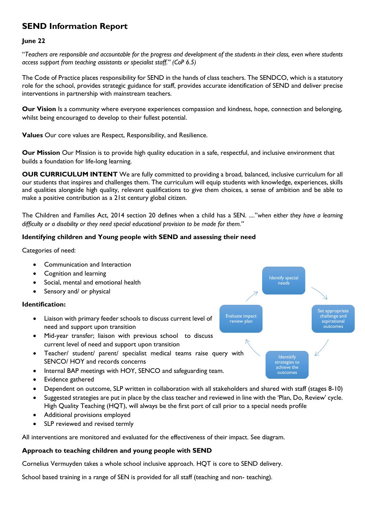# **SEND Information Report**

## **June 22**

"*Teachers are responsible and accountable for the progress and development of the students in their class, even where students access support from teaching assistants or specialist staff." (CoP 6.5)*

The Code of Practice places responsibility for SEND in the hands of class teachers. The SENDCO, which is a statutory role for the school, provides strategic guidance for staff, provides accurate identification of SEND and deliver precise interventions in partnership with mainstream teachers.

**Our Vision** Is a community where everyone experiences compassion and kindness, hope, connection and belonging, whilst being encouraged to develop to their fullest potential.

**Values** Our core values are Respect, Responsibility, and Resilience.

**Our Mission** Our Mission is to provide high quality education in a safe, respectful, and inclusive environment that builds a foundation for life-long learning.

**OUR CURRICULUM INTENT** We are fully committed to providing a broad, balanced, inclusive curriculum for all our students that inspires and challenges them. The curriculum will equip students with knowledge, experiences, skills and qualities alongside high quality, relevant qualifications to give them choices, a sense of ambition and be able to make a positive contribution as a 21st century global citizen.

The Children and Families Act, 2014 section 20 defines when a child has a SEN. ...."*when either they have a learning difficulty or a disability or they need special educational provision to be made for them."* 

> Identify special needs

Evaluate impact review plan

> Identitify strategies to achieve the outcomes

 $\det$  appropriate challenge and aspirational outcomes

# **Identifying children and Young people with SEND and assessing their need**

Categories of need:

- Communication and Interaction
- Cognition and learning
- Social, mental and emotional health
- Sensory and/ or physical

#### **Identification:**

- Liaison with primary feeder schools to discuss current level of need and support upon transition
- Mid-year transfer; liaison with previous school to discuss current level of need and support upon transition
- Teacher/ student/ parent/ specialist medical teams raise query with SENCO/ HOY and records concerns
- Internal BAP meetings with HOY, SENCO and safeguarding team.
- Evidence gathered
- Dependent on outcome, SLP written in collaboration with all stakeholders and shared with staff (stages 8-10)
- Suggested strategies are put in place by the class teacher and reviewed in line with the 'Plan, Do, Review' cycle. High Quality Teaching (HQT), will always be the first port of call prior to a special needs profile
- Additional provisions employed
- SLP reviewed and revised termly

All interventions are monitored and evaluated for the effectiveness of their impact. See diagram.

#### **Approach to teaching children and young people with SEND**

Cornelius Vermuyden takes a whole school inclusive approach. HQT is core to SEND delivery.

School based training in a range of SEN is provided for all staff (teaching and non- teaching).